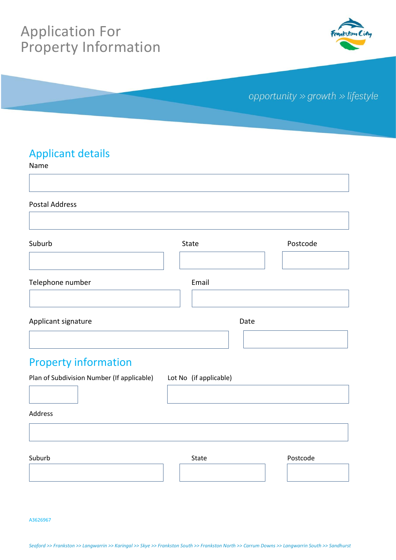# Application For Property Information



## opportunity » growth » lifestyle

#### Applicant details

Name

Postal Address

| Suburb              | State | Postcode |
|---------------------|-------|----------|
|                     |       |          |
| Telephone number    | Email |          |
|                     |       |          |
| Applicant signature |       | Date     |
|                     |       |          |

## Property information

Plan of Subdivision Number (If applicable) Lot No (if applicable)

Address

Suburb **Suburb** State **Postcode** 

A3626967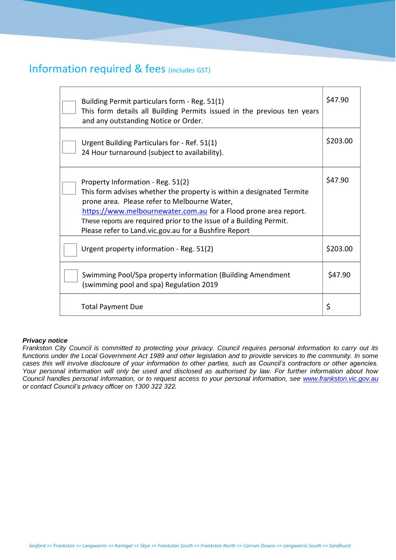#### Information required & fees (includes GST)

| Building Permit particulars form - Reg. 51(1)<br>This form details all Building Permits issued in the previous ten years<br>and any outstanding Notice or Order.                                                                                                                                                                                               |          |
|----------------------------------------------------------------------------------------------------------------------------------------------------------------------------------------------------------------------------------------------------------------------------------------------------------------------------------------------------------------|----------|
| Urgent Building Particulars for - Ref. 51(1)<br>24 Hour turnaround (subject to availability).                                                                                                                                                                                                                                                                  | \$203.00 |
| Property Information - Reg. 51(2)<br>This form advises whether the property is within a designated Termite<br>prone area. Please refer to Melbourne Water,<br>https://www.melbournewater.com.au for a Flood prone area report.<br>These reports are required prior to the issue of a Building Permit.<br>Please refer to Land.vic.gov.au for a Bushfire Report | \$47.90  |
| Urgent property information - Reg. 51(2)                                                                                                                                                                                                                                                                                                                       | \$203.00 |
| Swimming Pool/Spa property information (Building Amendment<br>(swimming pool and spa) Regulation 2019                                                                                                                                                                                                                                                          | \$47.90  |
| <b>Total Payment Due</b>                                                                                                                                                                                                                                                                                                                                       | \$       |

#### *Privacy notice*

*Frankston City Council is committed to protecting your privacy. Council requires personal information to carry out its functions under the Local Government Act 1989 and other legislation and to provide services to the community. In some cases this will involve disclosure of your information to other parties, such as Council's contractors or other agencies. Your personal information will only be used and disclosed as authorised by law. For further information about how Council handles personal information, or to request access to your personal information, see [www.frankston.vic.gov.au](http://www.frankston.vic.gov.au/) or contact Council's privacy officer on 1300 322 322.*